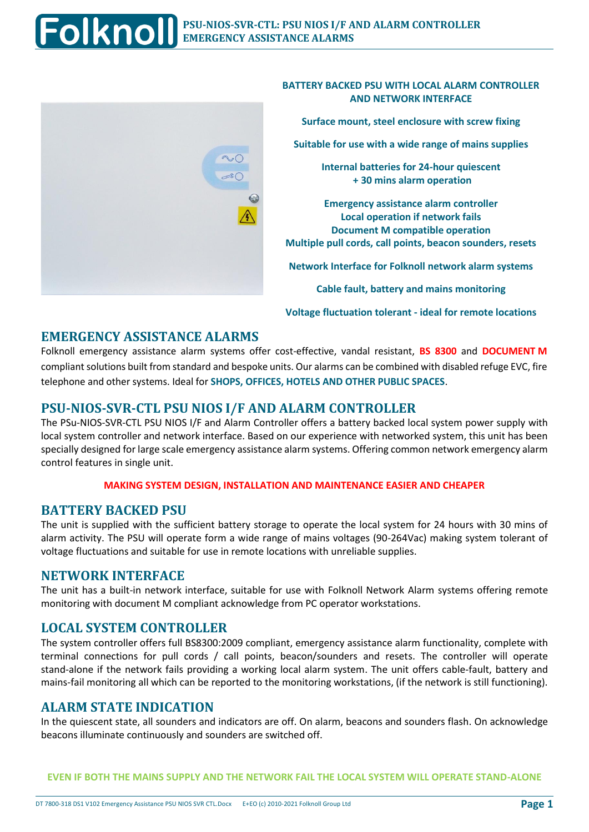

#### **BATTERY BACKED PSU WITH LOCAL ALARM CONTROLLER AND NETWORK INTERFACE**

**Surface mount, steel enclosure with screw fixing**

**Suitable for use with a wide range of mains supplies**

**Internal batteries for 24-hour quiescent + 30 mins alarm operation**

**Emergency assistance alarm controller Local operation if network fails Document M compatible operation Multiple pull cords, call points, beacon sounders, resets**

**Network Interface for Folknoll network alarm systems**

**Cable fault, battery and mains monitoring**

**Voltage fluctuation tolerant - ideal for remote locations**

## **EMERGENCY ASSISTANCE ALARMS**

Folknoll emergency assistance alarm systems offer cost-effective, vandal resistant, **BS 8300** and **DOCUMENT M** compliant solutions built from standard and bespoke units. Our alarms can be combined with disabled refuge EVC, fire telephone and other systems. Ideal for **SHOPS, OFFICES, HOTELS AND OTHER PUBLIC SPACES**.

## **PSU-NIOS-SVR-CTL PSU NIOS I/F AND ALARM CONTROLLER**

The PSu-NIOS-SVR-CTL PSU NIOS I/F and Alarm Controller offers a battery backed local system power supply with local system controller and network interface. Based on our experience with networked system, this unit has been specially designed for large scale emergency assistance alarm systems. Offering common network emergency alarm control features in single unit.

#### **MAKING SYSTEM DESIGN, INSTALLATION AND MAINTENANCE EASIER AND CHEAPER**

### **BATTERY BACKED PSU**

The unit is supplied with the sufficient battery storage to operate the local system for 24 hours with 30 mins of alarm activity. The PSU will operate form a wide range of mains voltages (90-264Vac) making system tolerant of voltage fluctuations and suitable for use in remote locations with unreliable supplies.

### **NETWORK INTERFACE**

The unit has a built-in network interface, suitable for use with Folknoll Network Alarm systems offering remote monitoring with document M compliant acknowledge from PC operator workstations.

## **LOCAL SYSTEM CONTROLLER**

The system controller offers full BS8300:2009 compliant, emergency assistance alarm functionality, complete with terminal connections for pull cords / call points, beacon/sounders and resets. The controller will operate stand-alone if the network fails providing a working local alarm system. The unit offers cable-fault, battery and mains-fail monitoring all which can be reported to the monitoring workstations, (if the network is still functioning).

### **ALARM STATE INDICATION**

In the quiescent state, all sounders and indicators are off. On alarm, beacons and sounders flash. On acknowledge beacons illuminate continuously and sounders are switched off.

**EVEN IF BOTH THE MAINS SUPPLY AND THE NETWORK FAIL THE LOCAL SYSTEM WILL OPERATE STAND-ALONE**